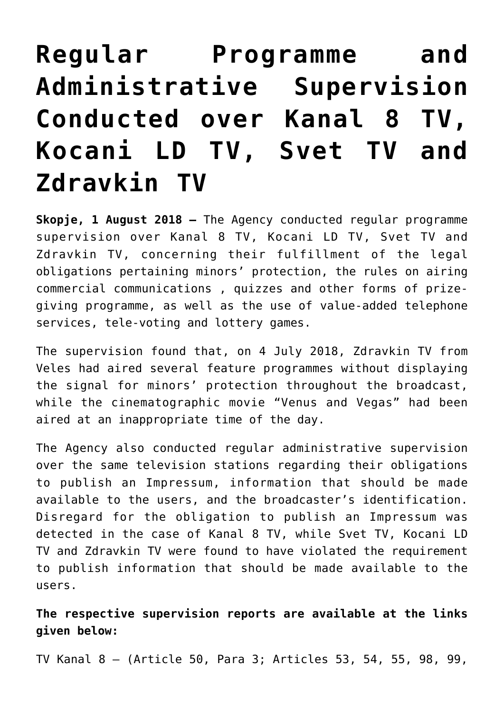## **[Regular Programme and](https://avmu.mk/en/2018/08/01/regular-programme-and-administrative-supervision-conducted-over-kanal-8-tv-kocani-ld-tv-svet-tv-and-zdravkin-tv/) [Administrative Supervision](https://avmu.mk/en/2018/08/01/regular-programme-and-administrative-supervision-conducted-over-kanal-8-tv-kocani-ld-tv-svet-tv-and-zdravkin-tv/) [Conducted over Kanal 8 TV,](https://avmu.mk/en/2018/08/01/regular-programme-and-administrative-supervision-conducted-over-kanal-8-tv-kocani-ld-tv-svet-tv-and-zdravkin-tv/) [Kocani LD TV, Svet TV and](https://avmu.mk/en/2018/08/01/regular-programme-and-administrative-supervision-conducted-over-kanal-8-tv-kocani-ld-tv-svet-tv-and-zdravkin-tv/) [Zdravkin TV](https://avmu.mk/en/2018/08/01/regular-programme-and-administrative-supervision-conducted-over-kanal-8-tv-kocani-ld-tv-svet-tv-and-zdravkin-tv/)**

**Skopje, 1 August 2018 –** The Agency conducted regular programme supervision over Kanal 8 TV, Kocani LD TV, Svet TV and Zdravkin TV, concerning their fulfillment of the legal obligations pertaining minors' protection, the rules on airing commercial communications , quizzes and other forms of prizegiving programme, as well as the use of value-added telephone services, tele-voting and lottery games.

The supervision found that, on 4 July 2018, Zdravkin TV from Veles had aired several feature programmes without displaying the signal for minors' protection throughout the broadcast, while the cinematographic movie "Venus and Vegas" had been aired at an inappropriate time of the day.

The Agency also conducted regular administrative supervision over the same television stations regarding their obligations to publish an Impressum, information that should be made available to the users, and the broadcaster's identification. Disregard for the obligation to publish an Impressum was detected in the case of Kanal 8 TV, while Svet TV, Kocani LD TV and Zdravkin TV were found to have violated the requirement to publish information that should be made available to the users.

**The respective supervision reports are available at the links given below:**

[TV Kanal 8](http://avmu.mk/wp-content/uploads/2018/08/Kanal-8-Programski-nadzor.pdf) – (Article 50, Para 3; Articles 53, 54, 55, 98, 99,